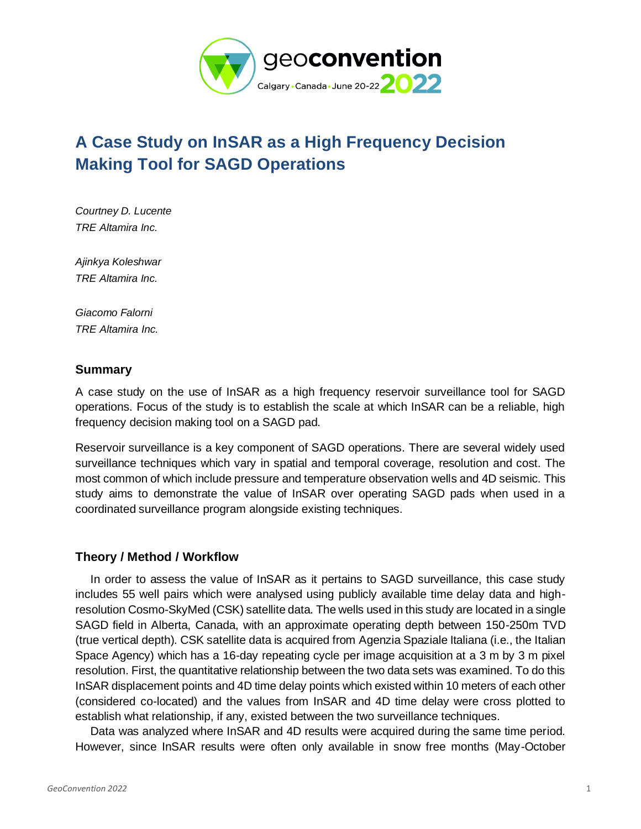

# **A Case Study on InSAR as a High Frequency Decision Making Tool for SAGD Operations**

*Courtney D. Lucente TRE Altamira Inc.* 

*Ajinkya Koleshwar TRE Altamira Inc.* 

*Giacomo Falorni TRE Altamira Inc.* 

## **Summary**

A case study on the use of InSAR as a high frequency reservoir surveillance tool for SAGD operations. Focus of the study is to establish the scale at which InSAR can be a reliable, high frequency decision making tool on a SAGD pad.

Reservoir surveillance is a key component of SAGD operations. There are several widely used surveillance techniques which vary in spatial and temporal coverage, resolution and cost. The most common of which include pressure and temperature observation wells and 4D seismic. This study aims to demonstrate the value of InSAR over operating SAGD pads when used in a coordinated surveillance program alongside existing techniques.

# **Theory / Method / Workflow**

In order to assess the value of InSAR as it pertains to SAGD surveillance, this case study includes 55 well pairs which were analysed using publicly available time delay data and highresolution Cosmo-SkyMed (CSK) satellite data. The wells used in this study are located in a single SAGD field in Alberta, Canada, with an approximate operating depth between 150-250m TVD (true vertical depth). CSK satellite data is acquired from Agenzia Spaziale Italiana (i.e., the Italian Space Agency) which has a 16-day repeating cycle per image acquisition at a 3 m by 3 m pixel resolution. First, the quantitative relationship between the two data sets was examined. To do this InSAR displacement points and 4D time delay points which existed within 10 meters of each other (considered co-located) and the values from InSAR and 4D time delay were cross plotted to establish what relationship, if any, existed between the two surveillance techniques.

Data was analyzed where InSAR and 4D results were acquired during the same time period. However, since InSAR results were often only available in snow free months (May-October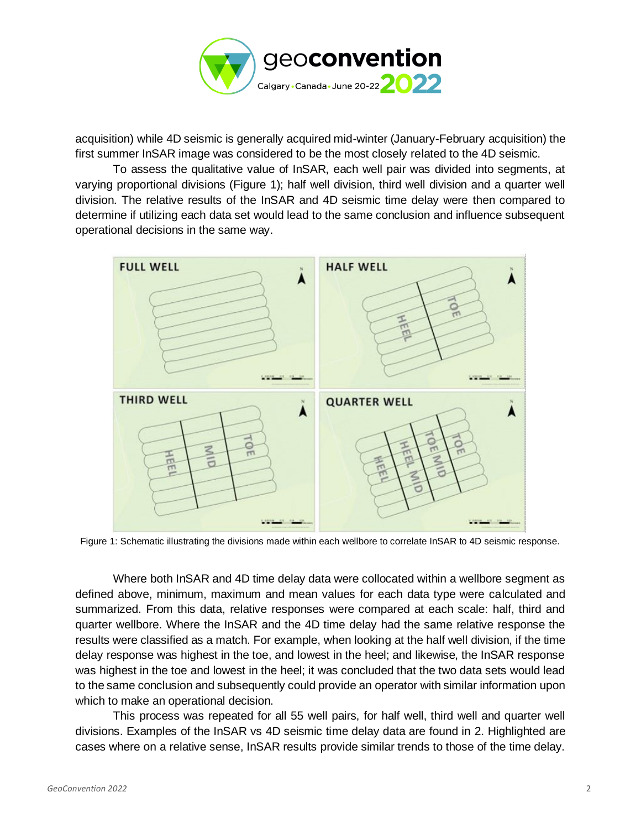

acquisition) while 4D seismic is generally acquired mid-winter (January-February acquisition) the first summer InSAR image was considered to be the most closely related to the 4D seismic.

To assess the qualitative value of InSAR, each well pair was divided into segments, at varying proportional divisions (Figure 1); half well division, third well division and a quarter well division. The relative results of the InSAR and 4D seismic time delay were then compared to determine if utilizing each data set would lead to the same conclusion and influence subsequent operational decisions in the same way.



Figure 1: Schematic illustrating the divisions made within each wellbore to correlate InSAR to 4D seismic response.

Where both InSAR and 4D time delay data were collocated within a wellbore segment as defined above, minimum, maximum and mean values for each data type were calculated and summarized. From this data, relative responses were compared at each scale: half, third and quarter wellbore. Where the InSAR and the 4D time delay had the same relative response the results were classified as a match. For example, when looking at the half well division, if the time delay response was highest in the toe, and lowest in the heel; and likewise, the InSAR response was highest in the toe and lowest in the heel; it was concluded that the two data sets would lead to the same conclusion and subsequently could provide an operator with similar information upon which to make an operational decision.

This process was repeated for all 55 well pairs, for half well, third well and quarter well divisions. Examples of the InSAR vs 4D seismic time delay data are found in 2. Highlighted are cases where on a relative sense, InSAR results provide similar trends to those of the time delay.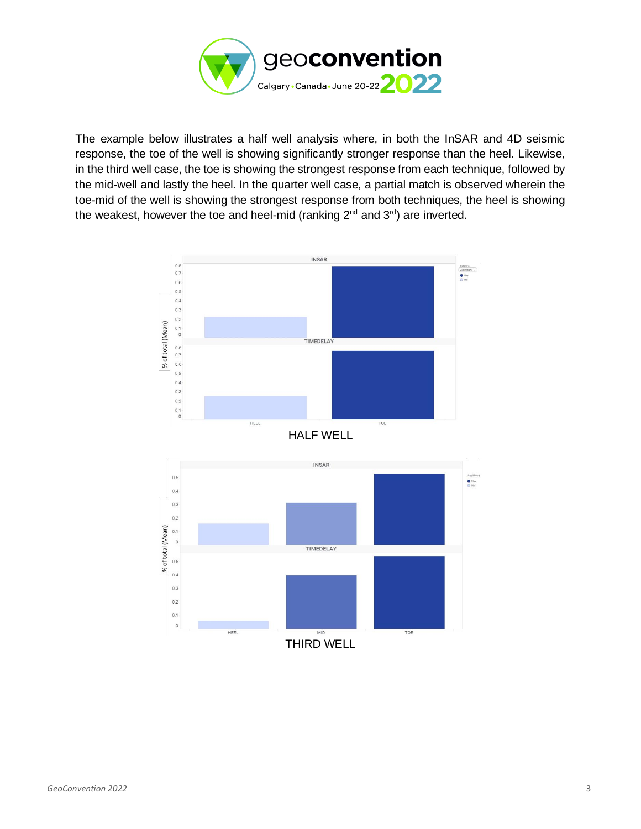

The example below illustrates a half well analysis where, in both the InSAR and 4D seismic response, the toe of the well is showing significantly stronger response than the heel. Likewise, in the third well case, the toe is showing the strongest response from each technique, followed by the mid-well and lastly the heel. In the quarter well case, a partial match is observed wherein the toe-mid of the well is showing the strongest response from both techniques, the heel is showing the weakest, however the toe and heel-mid (ranking  $2^{nd}$  and  $3^{rd}$ ) are inverted.

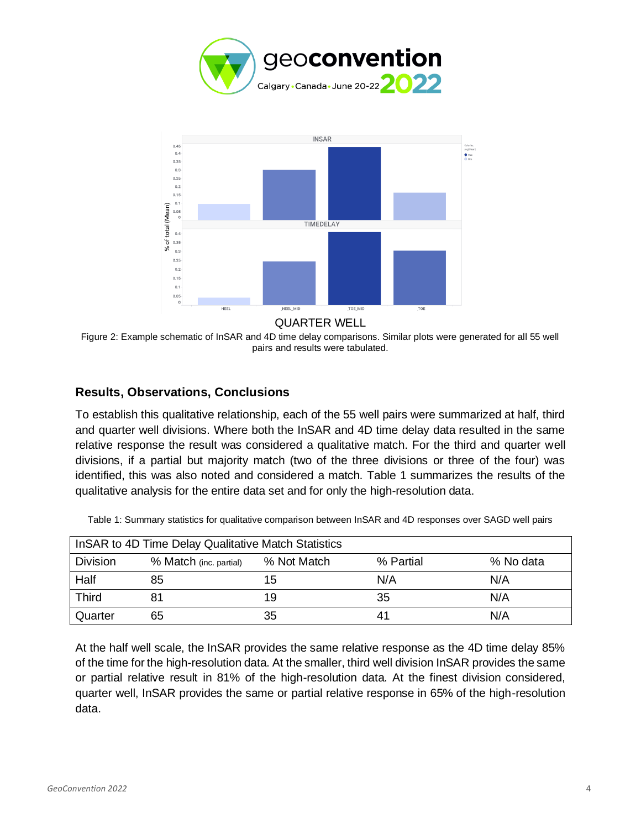



#### QUARTER WELL

Figure 2: Example schematic of InSAR and 4D time delay comparisons. Similar plots were generated for all 55 well pairs and results were tabulated.

## **Results, Observations, Conclusions**

To establish this qualitative relationship, each of the 55 well pairs were summarized at half, third and quarter well divisions. Where both the InSAR and 4D time delay data resulted in the same relative response the result was considered a qualitative match. For the third and quarter well divisions, if a partial but majority match (two of the three divisions or three of the four) was identified, this was also noted and considered a match. Table 1 summarizes the results of the qualitative analysis for the entire data set and for only the high-resolution data.

| In SAR to 4D Time Delay Qualitative Match Statistics |                        |             |           |           |
|------------------------------------------------------|------------------------|-------------|-----------|-----------|
| <b>Division</b>                                      | % Match (inc. partial) | % Not Match | % Partial | % No data |
| Half                                                 | 85                     | 15          | N/A       | N/A       |
| <b>Third</b>                                         | 81                     | 19          | 35        | N/A       |
| Quarter                                              | 65                     | 35          | 41        | N/A       |

Table 1: Summary statistics for qualitative comparison between InSAR and 4D responses over SAGD well pairs

At the half well scale, the InSAR provides the same relative response as the 4D time delay 85% of the time for the high-resolution data. At the smaller, third well division InSAR provides the same or partial relative result in 81% of the high-resolution data. At the finest division considered, quarter well, InSAR provides the same or partial relative response in 65% of the high-resolution data.